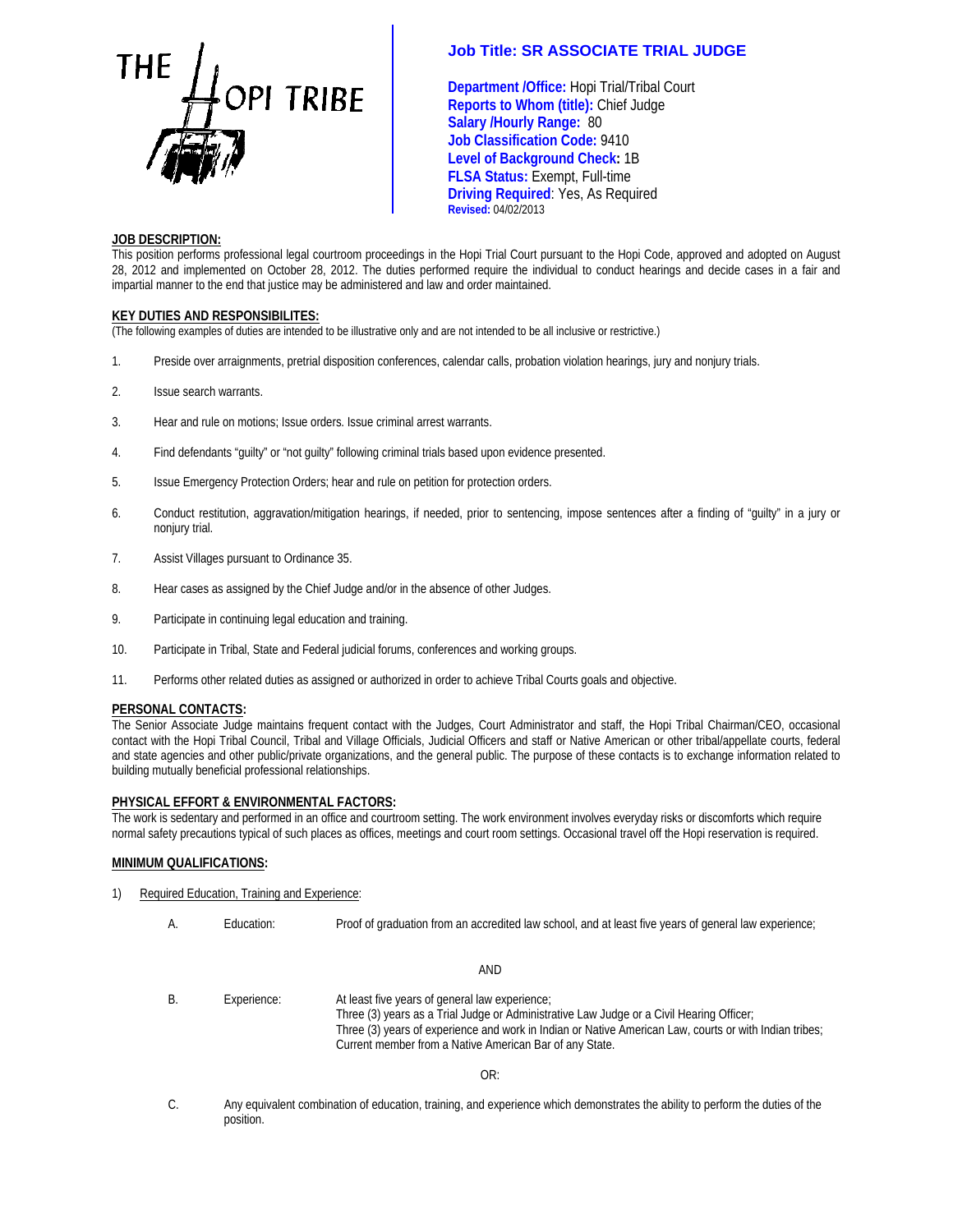

**Department /Office:** Hopi Trial/Tribal Court **Reports to Whom (title):** Chief Judge **TRIBE Salary /Hourly Range: 80<br>Salary /Hourly Range: 80 Job Classification Code:** 9410 **Level of Background Check:** 1B  **FLSA Status:** Exempt, Full-time **Driving Required**: Yes, As Required **Revised:** 04/02/2013

## **JOB DESCRIPTION:**

This position performs professional legal courtroom proceedings in the Hopi Trial Court pursuant to the Hopi Code, approved and adopted on August 28, 2012 and implemented on October 28, 2012. The duties performed require the individual to conduct hearings and decide cases in a fair and impartial manner to the end that justice may be administered and law and order maintained.

## **KEY DUTIES AND RESPONSIBILITES:**

(The following examples of duties are intended to be illustrative only and are not intended to be all inclusive or restrictive.)

- 1. Preside over arraignments, pretrial disposition conferences, calendar calls, probation violation hearings, jury and nonjury trials.
- 2. Issue search warrants.
- 3. Hear and rule on motions; Issue orders. Issue criminal arrest warrants.
- 4. Find defendants "guilty" or "not guilty" following criminal trials based upon evidence presented.
- 5. Issue Emergency Protection Orders; hear and rule on petition for protection orders.
- 6. Conduct restitution, aggravation/mitigation hearings, if needed, prior to sentencing, impose sentences after a finding of "guilty" in a jury or nonjury trial.
- 7. Assist Villages pursuant to Ordinance 35.
- 8. Hear cases as assigned by the Chief Judge and/or in the absence of other Judges.
- 9. Participate in continuing legal education and training.
- 10. Participate in Tribal, State and Federal judicial forums, conferences and working groups.
- 11. Performs other related duties as assigned or authorized in order to achieve Tribal Courts goals and objective.

### **PERSONAL CONTACTS:**

The Senior Associate Judge maintains frequent contact with the Judges, Court Administrator and staff, the Hopi Tribal Chairman/CEO, occasional contact with the Hopi Tribal Council, Tribal and Village Officials, Judicial Officers and staff or Native American or other tribal/appellate courts, federal and state agencies and other public/private organizations, and the general public. The purpose of these contacts is to exchange information related to building mutually beneficial professional relationships.

### **PHYSICAL EFFORT & ENVIRONMENTAL FACTORS:**

The work is sedentary and performed in an office and courtroom setting. The work environment involves everyday risks or discomforts which require normal safety precautions typical of such places as offices, meetings and court room settings. Occasional travel off the Hopi reservation is required.

### **MINIMUM QUALIFICATIONS:**

- 1) Required Education, Training and Experience:
	- A. Education: Proof of graduation from an accredited law school, and at least five years of general law experience; AND B. Experience: At least five years of general law experience; Three (3) years as a Trial Judge or Administrative Law Judge or a Civil Hearing Officer; Three (3) years of experience and work in Indian or Native American Law, courts or with Indian tribes; Current member from a Native American Bar of any State. OR:
	- C. Any equivalent combination of education, training, and experience which demonstrates the ability to perform the duties of the position.